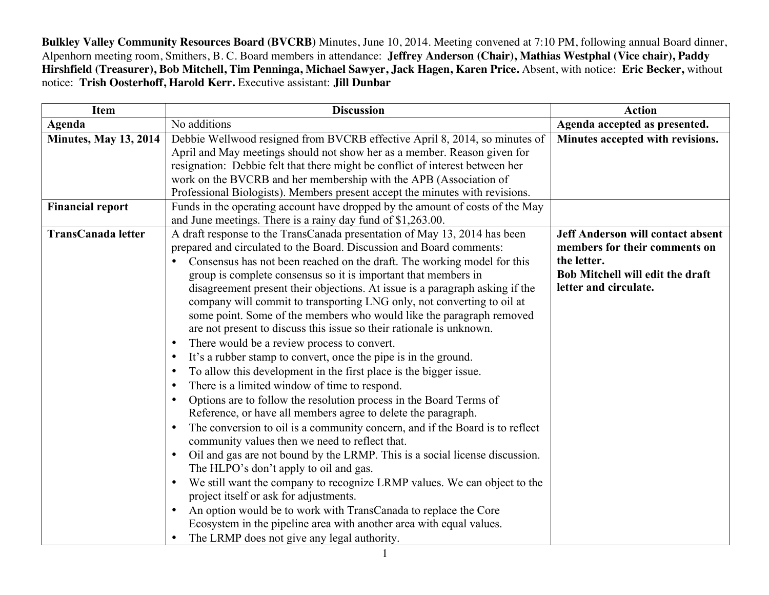**Bulkley Valley Community Resources Board (BVCRB)** Minutes, June 10, 2014. Meeting convened at 7:10 PM, following annual Board dinner, Alpenhorn meeting room, Smithers, B. C. Board members in attendance: **Jeffrey Anderson (Chair), Mathias Westphal (Vice chair), Paddy Hirshfield (Treasurer), Bob Mitchell, Tim Penninga, Michael Sawyer, Jack Hagen, Karen Price.** Absent, with notice: **Eric Becker,** without notice: **Trish Oosterhoff, Harold Kerr.** Executive assistant: **Jill Dunbar**

| <b>Item</b>                  | <b>Discussion</b>                                                                        | <b>Action</b>                            |
|------------------------------|------------------------------------------------------------------------------------------|------------------------------------------|
| Agenda                       | No additions                                                                             | Agenda accepted as presented.            |
| <b>Minutes, May 13, 2014</b> | Debbie Wellwood resigned from BVCRB effective April 8, 2014, so minutes of               | Minutes accepted with revisions.         |
|                              | April and May meetings should not show her as a member. Reason given for                 |                                          |
|                              | resignation: Debbie felt that there might be conflict of interest between her            |                                          |
|                              | work on the BVCRB and her membership with the APB (Association of                        |                                          |
|                              | Professional Biologists). Members present accept the minutes with revisions.             |                                          |
| <b>Financial report</b>      | Funds in the operating account have dropped by the amount of costs of the May            |                                          |
|                              | and June meetings. There is a rainy day fund of \$1,263.00.                              |                                          |
| <b>TransCanada letter</b>    | A draft response to the TransCanada presentation of May 13, 2014 has been                | <b>Jeff Anderson will contact absent</b> |
|                              | prepared and circulated to the Board. Discussion and Board comments:                     | members for their comments on            |
|                              | Consensus has not been reached on the draft. The working model for this                  | the letter.                              |
|                              | group is complete consensus so it is important that members in                           | Bob Mitchell will edit the draft         |
|                              | disagreement present their objections. At issue is a paragraph asking if the             | letter and circulate.                    |
|                              | company will commit to transporting LNG only, not converting to oil at                   |                                          |
|                              | some point. Some of the members who would like the paragraph removed                     |                                          |
|                              | are not present to discuss this issue so their rationale is unknown.                     |                                          |
|                              | There would be a review process to convert.<br>$\bullet$                                 |                                          |
|                              | It's a rubber stamp to convert, once the pipe is in the ground.<br>$\bullet$             |                                          |
|                              | To allow this development in the first place is the bigger issue.<br>$\bullet$           |                                          |
|                              | There is a limited window of time to respond.<br>$\bullet$                               |                                          |
|                              | Options are to follow the resolution process in the Board Terms of<br>$\bullet$          |                                          |
|                              | Reference, or have all members agree to delete the paragraph.                            |                                          |
|                              | The conversion to oil is a community concern, and if the Board is to reflect             |                                          |
|                              | community values then we need to reflect that.                                           |                                          |
|                              | Oil and gas are not bound by the LRMP. This is a social license discussion.<br>$\bullet$ |                                          |
|                              | The HLPO's don't apply to oil and gas.                                                   |                                          |
|                              | We still want the company to recognize LRMP values. We can object to the<br>٠            |                                          |
|                              | project itself or ask for adjustments.                                                   |                                          |
|                              | An option would be to work with TransCanada to replace the Core                          |                                          |
|                              | Ecosystem in the pipeline area with another area with equal values.                      |                                          |
|                              | The LRMP does not give any legal authority.                                              |                                          |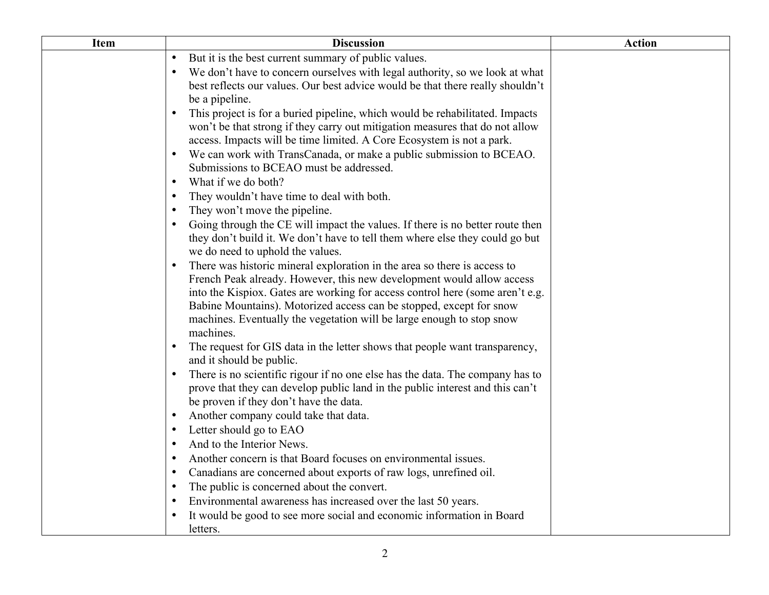| <b>Item</b> | <b>Discussion</b>                                                                                                                                              | <b>Action</b> |
|-------------|----------------------------------------------------------------------------------------------------------------------------------------------------------------|---------------|
|             | But it is the best current summary of public values.<br>$\bullet$                                                                                              |               |
|             | We don't have to concern ourselves with legal authority, so we look at what                                                                                    |               |
|             | best reflects our values. Our best advice would be that there really shouldn't                                                                                 |               |
|             | be a pipeline.                                                                                                                                                 |               |
|             | This project is for a buried pipeline, which would be rehabilitated. Impacts<br>$\bullet$                                                                      |               |
|             | won't be that strong if they carry out mitigation measures that do not allow                                                                                   |               |
|             | access. Impacts will be time limited. A Core Ecosystem is not a park.                                                                                          |               |
|             | We can work with TransCanada, or make a public submission to BCEAO.                                                                                            |               |
|             | Submissions to BCEAO must be addressed.                                                                                                                        |               |
|             | What if we do both?<br>$\bullet$                                                                                                                               |               |
|             | They wouldn't have time to deal with both.<br>$\bullet$                                                                                                        |               |
|             | They won't move the pipeline.<br>٠                                                                                                                             |               |
|             | Going through the CE will impact the values. If there is no better route then<br>$\bullet$                                                                     |               |
|             | they don't build it. We don't have to tell them where else they could go but                                                                                   |               |
|             | we do need to uphold the values.                                                                                                                               |               |
|             | There was historic mineral exploration in the area so there is access to<br>$\bullet$<br>French Peak already. However, this new development would allow access |               |
|             | into the Kispiox. Gates are working for access control here (some aren't e.g.                                                                                  |               |
|             | Babine Mountains). Motorized access can be stopped, except for snow                                                                                            |               |
|             | machines. Eventually the vegetation will be large enough to stop snow                                                                                          |               |
|             | machines.                                                                                                                                                      |               |
|             | The request for GIS data in the letter shows that people want transparency,                                                                                    |               |
|             | and it should be public.                                                                                                                                       |               |
|             | There is no scientific rigour if no one else has the data. The company has to                                                                                  |               |
|             | prove that they can develop public land in the public interest and this can't                                                                                  |               |
|             | be proven if they don't have the data.                                                                                                                         |               |
|             | Another company could take that data.                                                                                                                          |               |
|             | Letter should go to EAO<br>٠                                                                                                                                   |               |
|             | And to the Interior News.<br>٠                                                                                                                                 |               |
|             | Another concern is that Board focuses on environmental issues.<br>$\bullet$                                                                                    |               |
|             | Canadians are concerned about exports of raw logs, unrefined oil.<br>$\bullet$                                                                                 |               |
|             | The public is concerned about the convert.<br>$\bullet$                                                                                                        |               |
|             | Environmental awareness has increased over the last 50 years.<br>$\bullet$                                                                                     |               |
|             | It would be good to see more social and economic information in Board                                                                                          |               |
|             | letters.                                                                                                                                                       |               |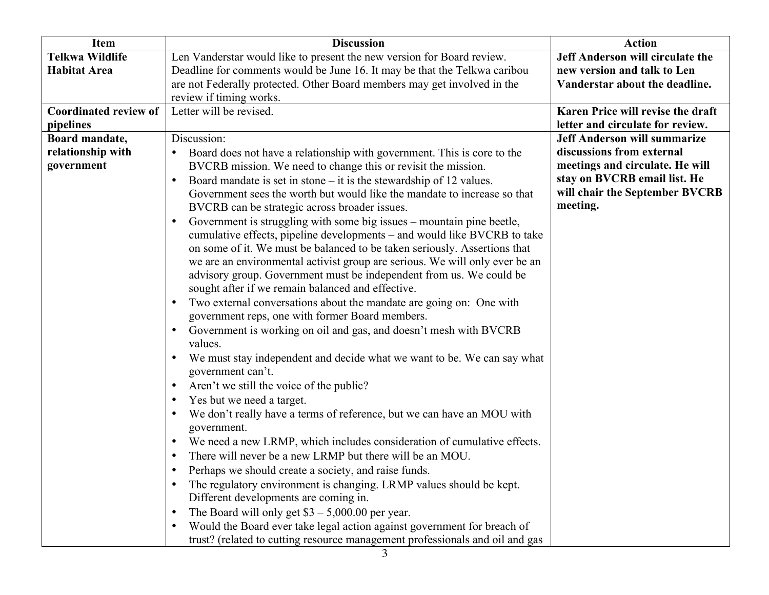| Item                         | <b>Discussion</b>                                                                            | <b>Action</b>                       |
|------------------------------|----------------------------------------------------------------------------------------------|-------------------------------------|
| <b>Telkwa Wildlife</b>       | Len Vanderstar would like to present the new version for Board review.                       | Jeff Anderson will circulate the    |
| <b>Habitat Area</b>          | Deadline for comments would be June 16. It may be that the Telkwa caribou                    | new version and talk to Len         |
|                              | are not Federally protected. Other Board members may get involved in the                     | Vanderstar about the deadline.      |
|                              | review if timing works.                                                                      |                                     |
| <b>Coordinated review of</b> | Letter will be revised.                                                                      | Karen Price will revise the draft   |
| pipelines                    |                                                                                              | letter and circulate for review.    |
| Board mandate,               | Discussion:                                                                                  | <b>Jeff Anderson will summarize</b> |
| relationship with            | Board does not have a relationship with government. This is core to the<br>$\bullet$         | discussions from external           |
| government                   | BVCRB mission. We need to change this or revisit the mission.                                | meetings and circulate. He will     |
|                              | Board mandate is set in stone $-$ it is the stewardship of 12 values.<br>$\bullet$           | stay on BVCRB email list. He        |
|                              | Government sees the worth but would like the mandate to increase so that                     | will chair the September BVCRB      |
|                              | BVCRB can be strategic across broader issues.                                                | meeting.                            |
|                              | Government is struggling with some big issues – mountain pine beetle,<br>$\bullet$           |                                     |
|                              | cumulative effects, pipeline developments – and would like BVCRB to take                     |                                     |
|                              | on some of it. We must be balanced to be taken seriously. Assertions that                    |                                     |
|                              | we are an environmental activist group are serious. We will only ever be an                  |                                     |
|                              | advisory group. Government must be independent from us. We could be                          |                                     |
|                              | sought after if we remain balanced and effective.                                            |                                     |
|                              | Two external conversations about the mandate are going on: One with<br>$\bullet$             |                                     |
|                              | government reps, one with former Board members.                                              |                                     |
|                              | Government is working on oil and gas, and doesn't mesh with BVCRB<br>$\bullet$<br>values.    |                                     |
|                              |                                                                                              |                                     |
|                              | We must stay independent and decide what we want to be. We can say what<br>government can't. |                                     |
|                              | Aren't we still the voice of the public?<br>$\bullet$                                        |                                     |
|                              | Yes but we need a target.<br>$\bullet$                                                       |                                     |
|                              | We don't really have a terms of reference, but we can have an MOU with<br>$\bullet$          |                                     |
|                              | government.                                                                                  |                                     |
|                              | We need a new LRMP, which includes consideration of cumulative effects.<br>$\bullet$         |                                     |
|                              | There will never be a new LRMP but there will be an MOU.                                     |                                     |
|                              | Perhaps we should create a society, and raise funds.                                         |                                     |
|                              | The regulatory environment is changing. LRMP values should be kept.<br>$\bullet$             |                                     |
|                              | Different developments are coming in.                                                        |                                     |
|                              | The Board will only get $$3 - 5,000.00$ per year.<br>$\bullet$                               |                                     |
|                              | Would the Board ever take legal action against government for breach of<br>$\bullet$         |                                     |
|                              | trust? (related to cutting resource management professionals and oil and gas                 |                                     |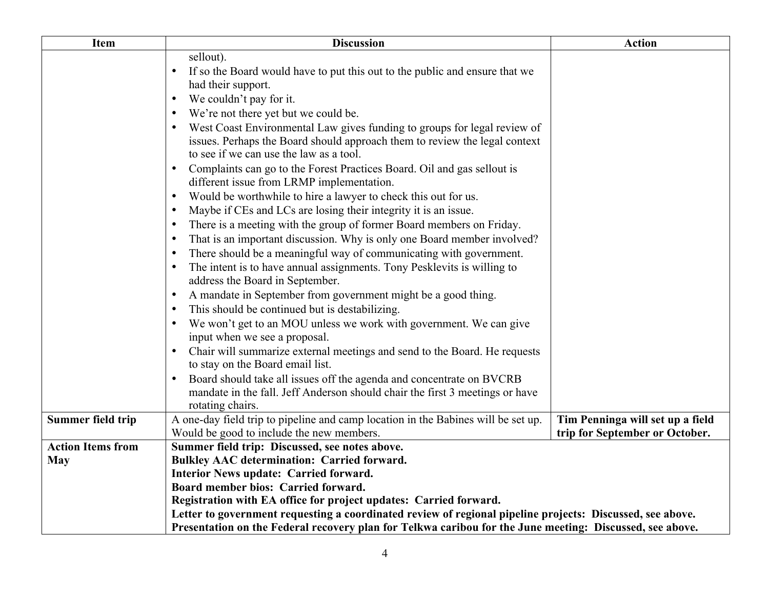| <b>Item</b>              | <b>Discussion</b>                                                                                                                                                                                 | <b>Action</b>                    |  |
|--------------------------|---------------------------------------------------------------------------------------------------------------------------------------------------------------------------------------------------|----------------------------------|--|
|                          | sellout).                                                                                                                                                                                         |                                  |  |
|                          | If so the Board would have to put this out to the public and ensure that we<br>$\bullet$                                                                                                          |                                  |  |
|                          | had their support.                                                                                                                                                                                |                                  |  |
|                          | We couldn't pay for it.<br>$\bullet$                                                                                                                                                              |                                  |  |
|                          | We're not there yet but we could be.                                                                                                                                                              |                                  |  |
|                          | West Coast Environmental Law gives funding to groups for legal review of<br>issues. Perhaps the Board should approach them to review the legal context<br>to see if we can use the law as a tool. |                                  |  |
|                          | Complaints can go to the Forest Practices Board. Oil and gas sellout is                                                                                                                           |                                  |  |
|                          | different issue from LRMP implementation.                                                                                                                                                         |                                  |  |
|                          | Would be worthwhile to hire a lawyer to check this out for us.<br>$\bullet$                                                                                                                       |                                  |  |
|                          | Maybe if CEs and LCs are losing their integrity it is an issue.<br>$\bullet$                                                                                                                      |                                  |  |
|                          | There is a meeting with the group of former Board members on Friday.<br>$\bullet$                                                                                                                 |                                  |  |
|                          | That is an important discussion. Why is only one Board member involved?<br>$\bullet$                                                                                                              |                                  |  |
|                          | There should be a meaningful way of communicating with government.                                                                                                                                |                                  |  |
|                          | The intent is to have annual assignments. Tony Pesklevits is willing to<br>address the Board in September.                                                                                        |                                  |  |
|                          | A mandate in September from government might be a good thing.                                                                                                                                     |                                  |  |
|                          | This should be continued but is destabilizing.                                                                                                                                                    |                                  |  |
|                          | We won't get to an MOU unless we work with government. We can give<br>input when we see a proposal.                                                                                               |                                  |  |
|                          | Chair will summarize external meetings and send to the Board. He requests<br>$\bullet$<br>to stay on the Board email list.                                                                        |                                  |  |
|                          | Board should take all issues off the agenda and concentrate on BVCRB<br>$\bullet$                                                                                                                 |                                  |  |
|                          | mandate in the fall. Jeff Anderson should chair the first 3 meetings or have                                                                                                                      |                                  |  |
| Summer field trip        | rotating chairs.<br>A one-day field trip to pipeline and camp location in the Babines will be set up.                                                                                             | Tim Penninga will set up a field |  |
|                          | Would be good to include the new members.                                                                                                                                                         | trip for September or October.   |  |
| <b>Action Items from</b> | Summer field trip: Discussed, see notes above.                                                                                                                                                    |                                  |  |
| <b>May</b>               | Bulkley AAC determination: Carried forward.                                                                                                                                                       |                                  |  |
|                          | Interior News update: Carried forward.                                                                                                                                                            |                                  |  |
|                          | Board member bios: Carried forward.                                                                                                                                                               |                                  |  |
|                          | Registration with EA office for project updates: Carried forward.                                                                                                                                 |                                  |  |
|                          | Letter to government requesting a coordinated review of regional pipeline projects: Discussed, see above.                                                                                         |                                  |  |
|                          | Presentation on the Federal recovery plan for Telkwa caribou for the June meeting: Discussed, see above.                                                                                          |                                  |  |